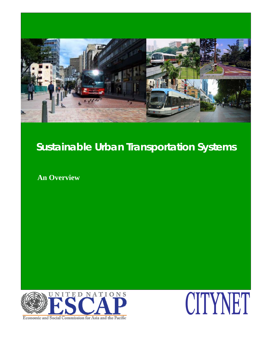

**An Overview** 



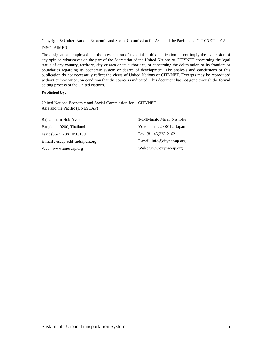Copyright © United Nations Economic and Social Commission for Asia and the Pacific and CITYNET, 2012

#### DISCLAIMER

The designations employed and the presentation of material in this publication do not imply the expression of any opinion whatsoever on the part of the Secretariat of the United Nations or CITYNET concerning the legal status of any country, territory, city or area or its authorities, or concerning the delimitation of its frontiers or boundaries regarding its economic system or degree of development. The analysis and conclusions of this publication do not necessarily reflect the views of United Nations or CITYNET. Excerpts may be reproduced without authorization, on condition that the source is indicated. This document has not gone through the formal editing process of the United Nations.

#### **Published by:**

United Nations Economic and Social Commission for CITYNET Asia and the Pacific (UNESCAP)

| Rajdamnern Nok Avenue            | 1-1-1 Minato Mirai, Nishi-ku |
|----------------------------------|------------------------------|
| Bangkok 10200, Thailand          | Yokohama 220-0012, Japan     |
| Fax: $(66-2)$ 288 1056/1097      | Fax: (81-45)223-2162         |
| $E$ -mail: escap-edd-suds@un.org | E-mail: info@citynet-ap.org  |
| Web: www.unescap.org             | Web: www.citynet-ap.org      |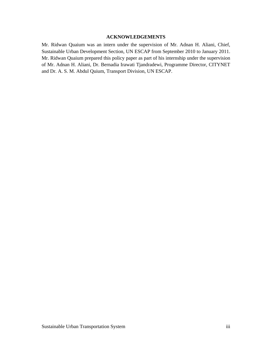## **ACKNOWLEDGEMENTS**

Mr. Ridwan Quaium was an intern under the supervision of Mr. Adnan H. Aliani, Chief, Sustainable Urban Development Section, UN ESCAP from September 2010 to January 2011. Mr. Ridwan Quaium prepared this policy paper as part of his internship under the supervision of Mr. Adnan H. Aliani, Dr. Bernadia Irawati Tjandradewi, Programme Director, CITYNET and Dr. A. S. M. Abdul Quium, Transport Division, UN ESCAP.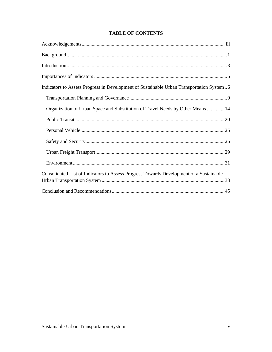## **TABLE OF CONTENTS**

| Indicators to Assess Progress in Development of Sustainable Urban Transportation System6 |
|------------------------------------------------------------------------------------------|
|                                                                                          |
| Organization of Urban Space and Substitution of Travel Needs by Other Means  14          |
|                                                                                          |
|                                                                                          |
|                                                                                          |
|                                                                                          |
|                                                                                          |
| Consolidated List of Indicators to Assess Progress Towards Development of a Sustainable  |
|                                                                                          |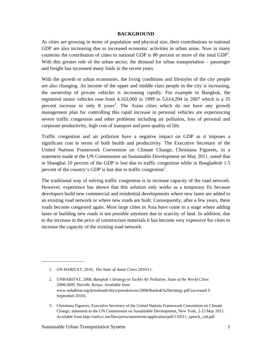#### **BACKGROUND**

As cities are growing in terms of population and physical size, their contributions to national GDP are also increasing due to increased economic activities in urban areas. Now in many countries the contribution of cities to national GDP is 80 percent or more of the total  $GDP<sup>1</sup>$ . With this greater role of the urban sector, the demand for urban transportation – passenger and freight has increased many folds in the recent years.

With the growth or urban economies, the living conditions and lifestyles of the city people are also changing. As income of the upper and middle class people in the city is increasing, the ownership of private vehicles is increasing rapidly. For example in Bangkok, the registered motor vehicles rose from 4,163,000 in 1999 to 5,614,294 in 2007 which is a 35 percent increase in only 8 years<sup>2</sup>. The Asian cities which do not have any growth management plan for controlling this rapid increase in personal vehicles are experiencing severe traffic congestion and other problems including air pollution, loss of personal and corporate productivity, high cost of transport and poor quality of life.

Traffic congestion and air pollution have a negative impact on GDP as it imposes a significant cost in terms of both health and productivity. The Executive Secretary of the United Nations Framework Convention on Climate Change, Christiana Figueres, in a statement made at the UN Commission on Sustainable Development on May 2011, noted that in Shanghai 10 percent of the GDP is lost due to traffic congestion while in Bangladesh 1.5 percent of the country's GDP is lost due to traffic congestion<sup>3</sup>.

The traditional way of solving traffic congestion is to increase capacity of the road network. However, experience has shown that this solution only works as a temporary fix because developers build new commercial and residential developments where new lanes are added to an existing road network or where new roads are built. Consequently, after a few years, these roads become congested again. Most large cities in Asia have come to a stage where adding lanes or building new roads is not possible anymore due to scarcity of land. In addition, due to the increase in the price of construction materials it has become very expensive for cities to increase the capacity of the existing road network.

3. Christiana Figueres, Executive Secretary of the United Nations Framework Convention on Climate Change, statement to the UN Commission on Sustainable Development, New York, 2-13 May 2011. Available from http://unfccc.int/files/press/statements/application/pdf/110511\_speech\_csd.pdf.

<sup>1.</sup> UN HABITAT, 2010, *The State of Asian Cities 2010/11*.

<sup>2.</sup> UNHABITAT, 2008, *Bangkok's Strategy to Tackle Air Pollution, State of the World Cities 2008/2009, Nairobi, Kenya*. Available from www.unhabitat.org/downloads/docs/presskitsowc2008/Bankok%20strategy.pdf (accessed 9 September 2010).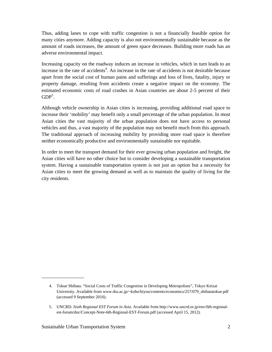Thus, adding lanes to cope with traffic congestion is not a financially feasible option for many cities anymore. Adding capacity is also not environmentally sustainable because as the amount of roads increases, the amount of green space decreases. Building more roads has an adverse environmental impact.

Increasing capacity on the roadway induces an increase in vehicles, which in turn leads to an increase in the rate of accidents<sup>4</sup>. An increase in the rate of accidents is not desirable because apart from the social cost of human pains and sufferings and loss of lives, fatality, injury or property damage, resulting from accidents create a negative impact on the economy. The estimated economic costs of road crashes in Asian countries are about 2-5 percent of their  $GDP<sup>5</sup>$ .

Although vehicle ownership in Asian cities is increasing, providing additional road space to increase their 'mobility' may benefit only a small percentage of the urban population. In most Asian cities the vast majority of the urban population does not have access to personal vehicles and thus, a vast majority of the population may not benefit much from this approach. The traditional approach of increasing mobility by providing more road space is therefore neither economically productive and environmentally sustainable nor equitable.

In order to meet the transport demand for their ever growing urban population and freight, the Asian cities will have no other choice but to consider developing a sustainable transportation system. Having a sustainable transportation system is not just an option but a necessity for Asian cities to meet the growing demand as well as to maintain the quality of living for the city residents.

<sup>4.</sup> Tokue Shibata. "Social Costs of Traffic Congestion in Developing Metropolises", Tokyo Keizai University. Available from www.tku.ac.jp/~koho/kiyou/contents/economics/257/079\_shibatatokue.pdf (accessed 9 September 2010).

<sup>5.</sup> UNCRD. *Sixth Regional EST Forum in Asia.* Available from http://www.uncrd.or.jp/env/6th-regionalest-forum/doc/Concept-Note-6th-Regional-EST-Forum.pdf (accessed April 15, 2012).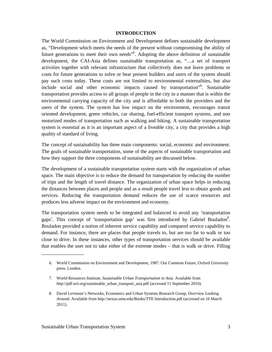#### **INTRODUCTION**

The World Commission on Environment and Development defines sustainable development as, "Development which meets the needs of the present without compromising the ability of future generations to meet their own needs<sup>"6</sup>. Adopting the above definition of sustainable development, the CAI-Asia defines sustainable transportation as, "…a set of transport activities together with relevant infrastructure that collectively does not leave problems or costs for future generations to solve or bear present builders and users of the system should pay such costs today. These costs are not limited to environmental externalities, but also include social and other economic impacts caused by transportation"6 . Sustainable transportation provides access to all groups of people in the city in a manner that is within the environmental carrying capacity of the city and is affordable to both the providers and the users of the system. The system has low impact on the environment, encourages transit oriented development, green vehicles, car sharing, fuel-efficient transport systems, and non motorized modes of transportation such as walking and biking. A sustainable transportation system is essential as it is an important aspect of a liveable city, a city that provides a high quality of standard of living.

The concept of sustainability has three main components: social, economic and environment. The goals of sustainable transportation, some of the aspects of sustainable transportation and how they support the three components of sustainability are discussed below.

The development of a sustainable transportation system starts with the organization of urban space. The main objective is to reduce the demand for transportation by reducing the number of trips and the length of travel distance. The organization of urban space helps in reducing the distances between places and people and as a result people travel less to obtain goods and services. Reducing the transportation demand reduces the use of scarce resources and produces less adverse impact on the environment and economy.

The transportation system needs to be integrated and balanced to avoid any 'transportation gaps'. This concept of 'transportation gap' was first introduced by Gabriel Bouladon<sup>8</sup>. Bouladon provided a notion of inherent service capability and compared service capability to demand. For instance, there are places that people travels to, but are too far to walk or too close to drive. In these instances, other types of transportation services should be available that enables the user not to take either of the extreme modes – that is walk or drive. Filling

<sup>6.</sup> World Commission on Environment and Development, 1987. Our Common Future, Oxford University press, London.

<sup>7.</sup> World Resources Institute, *Sustainable Urban Transportation in Asia*. Available from http://pdf.wri.org/sustainable\_urban\_transport\_asia.pdf (accessed 11 September 2010).

<sup>8.</sup> David Levinson's Networks, Economics and Urban Systems Research Group, *Overview Looking Around*. Available from http://nexus.umn.edu/Books/TTE-Introduction.pdf (accessed on 16 March 2011).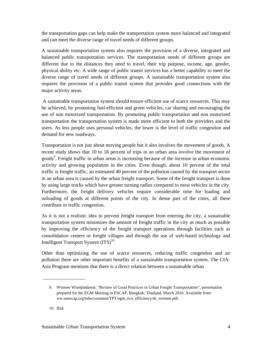the transportation gaps can help make the transportation system more balanced and integrated and can meet the diverse range of travel needs of different groups.

A sustainable transportation system also requires the provision of a diverse, integrated and balanced public transportation services. The transportation needs of different groups are different due to the distances they need to travel, their trip purpose, income, age, gender, physical ability etc. A wide range of public transit services has a better capability to meet the diverse range of travel needs of different groups. A sustainable transportation system also requires the provision of a public transit system that provides good connections with the major activity areas.

 A sustainable transportation system should ensure efficient use of scarce resources. This may be achieved, by promoting fuel-efficient and green vehicles, car sharing and encouraging the use of non motorized transportation. By promoting public transportation and non motorized transportation the transportation system is made more efficient to both the providers and the users. As less people uses personal vehicles, the lower is the level of traffic congestion and demand for new roadways.

Transportation is not just about moving people but it also involves the movement of goods. A recent study shows that 10 to 18 percent of trips in an urban area involve the movement of goods<sup>9</sup>. Freight traffic in urban areas is increasing because of the increase in urban economic activity and growing population in the cities. Even though, about 10 percent of the total traffic is freight traffic, an estimated 40 percent of the pollution caused by the transport sector in an urban area is caused by the urban freight transport. Some of the freight transport is done by using large trucks which have greater turning radius compared to most vehicles in the city. Furthermore, the freight delivery vehicles require considerable time for loading and unloading of goods at different points of the city. In dense part of the cities, all these contribute to traffic congestion.

As it is not a realistic idea to prevent freight transport from entering the city, a sustainable transportation system minimizes the amount of freight traffic in the city as much as possible by improving the efficiency of the freight transport operations through facilities such as consolidation centers or freight villages and through the use of web-based technology and Intelligent Transport System  $(TTS)^{10}$ .

Other than optimizing the use of scarce resources, reducing traffic congestion and air pollution there are other important benefits of a sustainable transportation system. The CIA-Asia Program mentions that there is a direct relation between a sustainable urban

 $\frac{1}{2}$  ,  $\frac{1}{2}$  ,  $\frac{1}{2}$  ,  $\frac{1}{2}$  ,  $\frac{1}{2}$  ,  $\frac{1}{2}$  ,  $\frac{1}{2}$  ,  $\frac{1}{2}$  ,  $\frac{1}{2}$  ,  $\frac{1}{2}$  ,  $\frac{1}{2}$  ,  $\frac{1}{2}$  ,  $\frac{1}{2}$  ,  $\frac{1}{2}$  ,  $\frac{1}{2}$  ,  $\frac{1}{2}$  ,  $\frac{1}{2}$  ,  $\frac{1}{2}$  ,  $\frac{1$ 

<sup>9.</sup> Wisinee Wisetjindawat. "Review of Good Practices in Urban Freight Transportation", presentation prepared for the EGM Meeting in ESCAP, Bangkok, Thailand, March 2010. Available from ww.unescap.org/ttdw/common/TPT/egm\_eco\_efficiency/dr\_wisinee.pdf.

<sup>10.</sup> Ibid.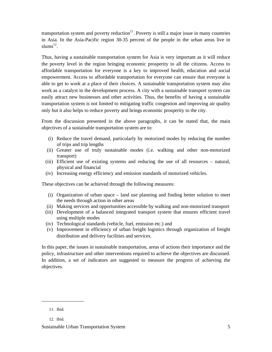transportation system and poverty reduction $11$ . Poverty is still a major issue in many countries in Asia. In the Asia-Pacific region 30-35 percent of the people in the urban areas live in slums $^{12}$ .

Thus, having a sustainable transportation system for Asia is very important as it will reduce the poverty level in the region bringing economic prosperity to all the citizens. Access to affordable transportation for everyone is a key to improved health, education and social empowerment. Access to affordable transportation for everyone can ensure that everyone is able to get to work at a place of their choices. A sustainable transportation system may also work as a catalyst in the development process. A city with a sustainable transport system can easily attract new businesses and other activities. Thus, the benefits of having a sustainable transportation system is not limited to mitigating traffic congestion and improving air quality only but it also helps to reduce poverty and brings economic prosperity to the city.

From the discussion presented in the above paragraphs, it can be stated that, the main objectives of a sustainable transportation system are to:

- (i) Reduce the travel demand, particularly by motorized modes by reducing the number of trips and trip lengths
- (ii) Greater use of truly sustainable modes (i.e. walking and other non-motorized transport)
- (iii) Efficient use of existing systems and reducing the use of all resources natural, physical and financial
- (iv) Increasing energy efficiency and emission standards of motorized vehicles.

These objectives can be achieved through the following measures:

- (i) Organization of urban space land use planning and finding better solution to meet the needs through action in other areas
- (ii) Making services and opportunities accessible by walking and non-motorized transport
- (iii) Development of a balanced integrated transport system that ensures efficient travel using multiple modes
- (iv) Technological standards (vehicle, fuel, emission etc.) and
- (v) Improvement in efficiency of urban freight logistics through organization of freight distribution and delivery facilities and services.

In this paper, the issues in sustainable transportation, areas of actions their importance and the policy, infrastructure and other interventions required to achieve the objectives are discussed. In addition, a set of indicators are suggested to measure the progress of achieving the objectives.

<sup>11.</sup> Ibid.

<sup>12.</sup> Ibid.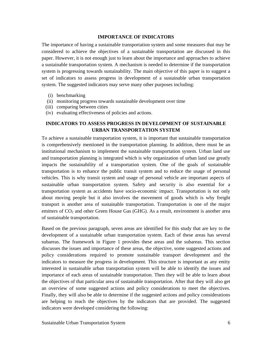#### **IMPORTANCE OF INDICATORS**

The importance of having a sustainable transportation system and some measures that may be considered to achieve the objectives of a sustainable transportation are discussed in this paper. However, it is not enough just to learn about the importance and approaches to achieve a sustainable transportation system. A mechanism is needed to determine if the transportation system is progressing towards sustainability. The main objective of this paper is to suggest a set of indicators to assess progress in development of a sustainable urban transportation system. The suggested indicators may serve many other purposes including:

- (i) benchmarking
- (ii) monitoring progress towards sustainable development over time
- (iii) comparing between cities
- (iv) evaluating effectiveness of policies and actions.

## **INDICATORS TO ASSESS PROGRESS IN DEVELOPMENT OF SUSTAINABLE URBAN TRANSPORTATION SYSTEM**

To achieve a sustainable transportation system, it is important that sustainable transportation is comprehensively mentioned in the transportation planning. In addition, there must be an institutional mechanism to implement the sustainable transportation system. Urban land use and transportation planning is integrated which is why organization of urban land use greatly impacts the sustainability of a transportation system. One of the goals of sustainable transportation is to enhance the public transit system and to reduce the usage of personal vehicles. This is why transit system and usage of personal vehicle are important aspects of sustainable urban transportation system. Safety and security is also essential for a transportation system as accidents have socio-economic impact. Transportation is not only about moving people but it also involves the movement of goods which is why freight transport is another area of sustainable transportation. Transportation is one of the major emitters of  $CO<sub>2</sub>$  and other Green House Gas (GHG). As a result, environment is another area of sustainable transportation.

Based on the previous paragraph, seven areas are identified for this study that are key to the development of a sustainable urban transportation system. Each of these areas has several subareas. The framework in Figure 1 provides these areas and the subareas. This section discusses the issues and importance of these areas, the objective, some suggested actions and policy considerations required to promote sustainable transport development and the indicators to measure the progress in development. This structure is important as any entity interested in sustainable urban transportation system will be able to identify the issues and importance of each areas of sustainable transportation. Then they will be able to learn about the objectives of that particular area of sustainable transportation. After that they will also get an overview of some suggested actions and policy considerations to meet the objectives. Finally, they will also be able to determine if the suggested actions and policy considerations are helping to reach the objectives by the indicators that are provided. The suggested indicators were developed considering the following: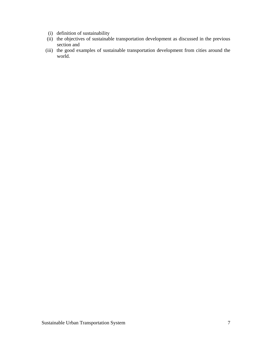- (i) definition of sustainability
- (ii) the objectives of sustainable transportation development as discussed in the previous section and
- (iii) the good examples of sustainable transportation development from cities around the world.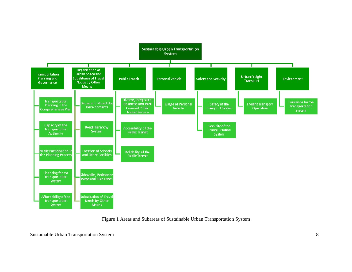

Figure 1 Areas and Subareas of Sustainable Urban Transportation System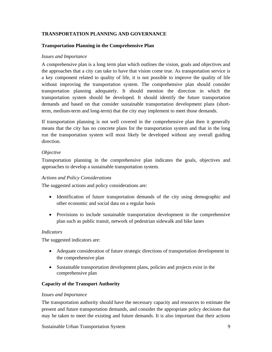## **TRANSPORTATION PLANNING AND GOVERNANCE**

#### **Transportation Planning in the Comprehensive Plan**

#### *Issues and Importance*

A comprehensive plan is a long term plan which outlines the vision, goals and objectives and the approaches that a city can take to have that vision come true. As transportation service is a key component related to quality of life, it is not possible to improve the quality of life without improving the transportation system. The comprehensive plan should consider transportation planning adequately. It should mention the direction in which the transportation system should be developed. It should identify the future transportation demands and based on that consider sustainable transportation development plans (shortterm, medium-term and long-term) that the city may implement to meet those demands.

If transportation planning is not well covered in the comprehensive plan then it generally means that the city has no concrete plans for the transportation system and that in the long run the transportation system will most likely be developed without any overall guiding direction.

## *Objective*

Transportation planning in the comprehensive plan indicates the goals, objectives and approaches to develop a sustainable transportation system.

#### *Actions and Policy Considerations*

The suggested actions and policy considerations are:

- Identification of future transportation demands of the city using demographic and other economic and social data on a regular basis
- Provisions to include sustainable transportation development in the comprehensive plan such as public transit, network of pedestrian sidewalk and bike lanes

## *Indicators*

The suggested indicators are:

- Adequate consideration of future strategic directions of transportation development in the comprehensive plan
- Sustainable transportation development plans, policies and projects exist in the comprehensive plan

## **Capacity of the Transport Authority**

#### *Issues and Importance*

The transportation authority should have the necessary capacity and resources to estimate the present and future transportation demands, and consider the appropriate policy decisions that may be taken to meet the existing and future demands. It is also important that their actions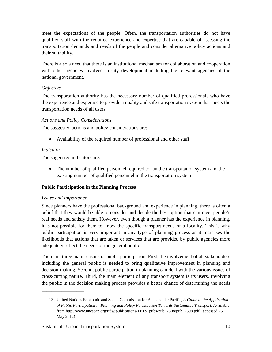meet the expectations of the people. Often, the transportation authorities do not have qualified staff with the required experience and expertise that are capable of assessing the transportation demands and needs of the people and consider alternative policy actions and their suitability.

There is also a need that there is an institutional mechanism for collaboration and cooperation with other agencies involved in city development including the relevant agencies of the national government.

## *Objective*

The transportation authority has the necessary number of qualified professionals who have the experience and expertise to provide a quality and safe transportation system that meets the transportation needs of all users.

## *Actions and Policy Considerations*

The suggested actions and policy considerations are:

Availability of the required number of professional and other staff

## *Indicator*

The suggested indicators are:

 The number of qualified personnel required to run the transportation system and the existing number of qualified personnel in the transportation system

## **Public Participation in the Planning Process**

## *Issues and Importance*

\_\_\_\_\_\_\_\_\_\_\_\_\_\_\_\_\_

Since planners have the professional background and experience in planning, there is often a belief that they would be able to consider and decide the best option that can meet people's real needs and satisfy them. However, even though a planner has the experience in planning, it is not possible for them to know the specific transport needs of a locality. This is why public participation is very important in any type of planning process as it increases the likelihoods that actions that are taken or services that are provided by public agencies more adequately reflect the needs of the general public<sup>13</sup>.

There are three main reasons of public participation. First, the involvement of all stakeholders including the general public is needed to bring qualitative improvement in planning and decision-making. Second, public participation in planning can deal with the various issues of cross-cutting nature. Third, the main element of any transport system is its users. Involving the public in the decision making process provides a better chance of determining the needs

<sup>13.</sup> United Nations Economic and Social Commission for Asia and the Pacific, *A Guide to the Application of Public Participation in Planning and Policy Formulation Towards Sustainable Transport*. Available from http://www.unescap.org/ttdw/publications/TPTS\_pubs/pub\_2308/pub\_2308.pdf (accessed 25 May 2012)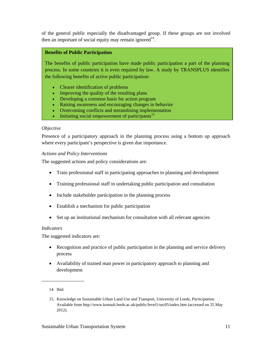of the general public especially the disadvantaged group. If these groups are not involved then an important of social equity may remain ignored<sup>14</sup>.

## **Benefits of Public Participation**

The benefits of public participation have made public participation a part of the planning process. In some countries it is even required by law. A study by TRANSPLUS identifies the following benefits of active public participation:

- Clearer identification of problems
- Improving the quality of the resulting plans
- Developing a common basis for action program
- Raising awareness and encouraging changes in behavior
- Overcoming conflicts and streamlining implementation
- Initiating social empowerment of participants<sup>15</sup>

## *Objective*

Presence of a participatory approach in the planning process using a bottom up approach where every participant's perspective is given due importance.

## *Actions and Policy Interventions*

The suggested actions and policy considerations are:

- Train professional staff in participating approaches to planning and development
- Training professional staff in undertaking public participation and consultation
- Include stakeholder participation in the planning process
- Establish a mechanism for public participation
- Set up an institutional mechanism for consultation with all relevant agencies

#### *Indicators*

The suggested indicators are:

- Recognition and practice of public participation in the planning and service delivery process
- Availability of trained man power in participatory approach to planning and development

<sup>14.</sup> Ibid.

<sup>15.</sup> Knowledge on Sustainable Urban Land Use and Transport, University of Leeds, *Participation*. Available from http://www.konsult.leeds.ac.uk/public/level1/sec05/index.htm (accessed on 25 May 2012).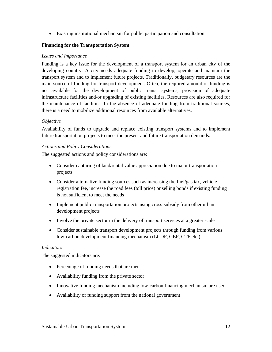Existing institutional mechanism for public participation and consultation

## **Financing for the Transportation System**

#### *Issues and Importance*

Funding is a key issue for the development of a transport system for an urban city of the developing country. A city needs adequate funding to develop, operate and maintain the transport system and to implement future projects. Traditionally, budgetary resources are the main source of funding for transport development. Often, the required amount of funding is not available for the development of public transit systems, provision of adequate infrastructure facilities and/or upgrading of existing facilities. Resources are also required for the maintenance of facilities. In the absence of adequate funding from traditional sources, there is a need to mobilize additional resources from available alternatives.

#### *Objective*

Availability of funds to upgrade and replace existing transport systems and to implement future transportation projects to meet the present and future transportation demands.

#### *Actions and Policy Considerations*

The suggested actions and policy considerations are:

- Consider capturing of land/rental value appreciation due to major transportation projects
- Consider alternative funding sources such as increasing the fuel/gas tax, vehicle registration fee, increase the road fees (toll price) or selling bonds if existing funding is not sufficient to meet the needs
- Implement public transportation projects using cross-subsidy from other urban development projects
- Involve the private sector in the delivery of transport services at a greater scale
- Consider sustainable transport development projects through funding from various low-carbon development financing mechanism (LCDF, GEF, CTF etc.)

#### *Indicators*

The suggested indicators are:

- Percentage of funding needs that are met
- Availability funding from the private sector
- Innovative funding mechanism including low-carbon financing mechanism are used
- Availability of funding support from the national government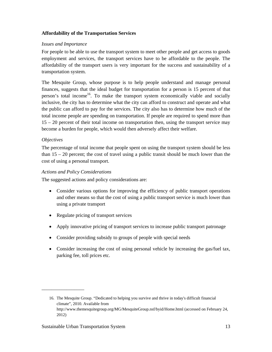## **Affordability of the Transportation Services**

## *Issues and Importance*

For people to be able to use the transport system to meet other people and get access to goods employment and services, the transport services have to be affordable to the people. The affordability of the transport users is very important for the success and sustainability of a transportation system.

The Mesquite Group, whose purpose is to help people understand and manage personal finances, suggests that the ideal budget for transportation for a person is 15 percent of that person's total income<sup>16</sup>. To make the transport system economically viable and socially inclusive, the city has to determine what the city can afford to construct and operate and what the public can afford to pay for the services. The city also has to determine how much of the total income people are spending on transportation. If people are required to spend more than 15 – 20 percent of their total income on transportation then, using the transport service may become a burden for people, which would then adversely affect their welfare.

## *Objectives*

The percentage of total income that people spent on using the transport system should be less than  $15 - 20$  percent; the cost of travel using a public transit should be much lower than the cost of using a personal transport.

#### *Actions and Policy Considerations*

The suggested actions and policy considerations are:

- Consider various options for improving the efficiency of public transport operations and other means so that the cost of using a public transport service is much lower than using a private transport
- Regulate pricing of transport services
- Apply innovative pricing of transport services to increase public transport patronage
- Consider providing subsidy to groups of people with special needs
- Consider increasing the cost of using personal vehicle by increasing the gas/fuel tax, parking fee, toll prices etc.

<sup>16.</sup> The Mesquite Group. "Dedicated to helping you survive and thrive in today's difficult financial climate", 2010. Available from http://www.themesquitegroup.org/MG/MesquiteGroup.nsf/byid/Home.html (accessed on February 24, 2012)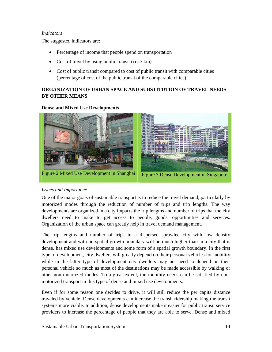#### *Indicators*

The suggested indicators are:

- Percentage of income that people spend on transportation
- Cost of travel by using public transit (cost/ km)
- Cost of public transit compared to cost of public transit with comparable cities (percentage of cost of the public transit of the comparable cities)

## **ORGANIZATION OF URBAN SPACE AND SUBSTITUTION OF TRAVEL NEEDS BY OTHER MEANS**

## **Dense and Mixed Use Developments**



## *Issues and Importance*

One of the major goals of sustainable transport is to reduce the travel demand, particularly by motorized modes through the reduction of number of trips and trip lengths. The way developments are organized in a city impacts the trip lengths and number of trips that the city dwellers need to make to get access to people, goods, opportunities and services. Organization of the urban space can greatly help in travel demand management.

The trip lengths and number of trips in a dispersed sprawled city with low density development and with no spatial growth boundary will be much higher than in a city that is dense, has mixed use developments and some form of a spatial growth boundary. In the first type of development, city dwellers will greatly depend on their personal vehicles for mobility while in the latter type of development city dwellers may not need to depend on their personal vehicle so much as most of the destinations may be made accessible by walking or other non-motorized modes. To a great extent, the mobility needs can be satisfied by nonmotorized transport in this type of dense and mixed use developments.

Even if for some reason one decides to drive, it will still reduce the per capita distance traveled by vehicle. Dense developments can increase the transit ridership making the transit systems more viable. In addition, dense developments make it easier for public transit service providers to increase the percentage of people that they are able to serve. Dense and mixed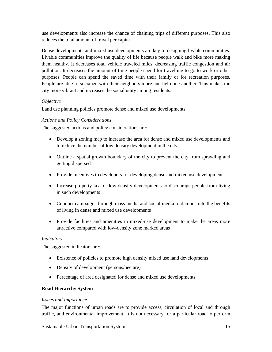use developments also increase the chance of chaining trips of different purposes. This also reduces the total amount of travel per capita.

Dense developments and mixed use developments are key to designing livable communities. Livable communities improve the quality of life because people walk and bike more making them healthy. It decreases total vehicle traveled miles, decreasing traffic congestion and air pollution. It decreases the amount of time people spend for travelling to go to work or other purposes. People can spend the saved time with their family or for recreation purposes. People are able to socialize with their neighbors more and help one another. This makes the city more vibrant and increases the social unity among residents.

## *Objective*

Land use planning policies promote dense and mixed use developments.

## *Actions and Policy Considerations*

The suggested actions and policy considerations are:

- Develop a zoning map to increase the area for dense and mixed use developments and to reduce the number of low density development in the city
- Outline a spatial growth boundary of the city to prevent the city from sprawling and getting dispersed
- Provide incentives to developers for developing dense and mixed use developments
- Increase property tax for low density developments to discourage people from living in such developments
- Conduct campaigns through mass media and social media to demonstrate the benefits of living in dense and mixed use developments
- Provide facilities and amenities in mixed-use development to make the areas more attractive compared with low-density zone marked areas

#### *Indicators*

The suggested indicators are:

- Existence of policies to promote high density mixed use land developments
- Density of development (persons/hectare)
- Percentage of area designated for dense and mixed use developments

## **Road Hierarchy System**

#### *Issues and Importance*

The major functions of urban roads are to provide access, circulation of local and through traffic, and environmental improvement. It is not necessary for a particular road to perform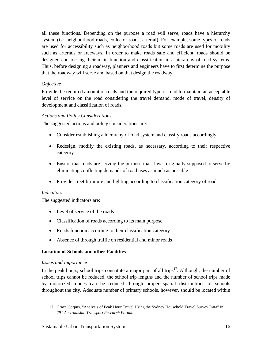all these functions. Depending on the purpose a road will serve, roads have a hierarchy system (i.e. neighborhood roads, collector roads, arterial). For example, some types of roads are used for accessibility such as neighborhood roads but some roads are used for mobility such as arterials or freeways. In order to make roads safe and efficient, roads should be designed considering their main function and classification in a hierarchy of road systems. Thus, before designing a roadway, planners and engineers have to first determine the purpose that the roadway will serve and based on that design the roadway.

## *Objective*

Provide the required amount of roads and the required type of road to maintain an acceptable level of service on the road considering the travel demand, mode of travel, density of development and classification of roads.

## *Actions and Policy Considerations*

The suggested actions and policy considerations are:

- Consider establishing a hierarchy of road system and classify roads accordingly
- Redesign, modify the existing roads, as necessary, according to their respective category
- Ensure that roads are serving the purpose that it was originally supposed to serve by eliminating conflicting demands of road uses as much as possible
- Provide street furniture and lighting according to classification category of roads

#### *Indicators*

The suggested indicators are:

- Level of service of the roads
- Classification of roads according to its main purpose
- Roads function according to their classification category
- Absence of through traffic on residential and minor roads

## **Location of Schools and other Facilities**

## *Issues and Importance*

\_\_\_\_\_\_\_\_\_\_\_\_\_\_\_

In the peak hours, school trips constitute a major part of all trips $17$ . Although, the number of school trips cannot be reduced, the school trip lengths and the number of school trips made by motorized modes can be reduced through proper spatial distributions of schools throughout the city. Adequate number of primary schools, however, should be located within

<sup>17.</sup> Grace Corpus, "Analysis of Peak Hour Travel Using the Sydney Household Travel Survey Data" in *29th Australasian Transport Research Forum*.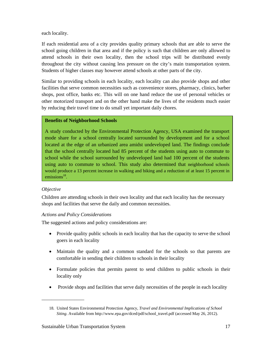each locality.

If each residential area of a city provides quality primary schools that are able to serve the school going children in that area and if the policy is such that children are only allowed to attend schools in their own locality, then the school trips will be distributed evenly throughout the city without causing less pressure on the city's main transportation system. Students of higher classes may however attend schools at other parts of the city.

Similar to providing schools in each locality, each locality can also provide shops and other facilities that serve common necessities such as convenience stores, pharmacy, clinics, barber shops, post office, banks etc. This will on one hand reduce the use of personal vehicles or other motorized transport and on the other hand make the lives of the residents much easier by reducing their travel time to do small yet important daily chores.

## **Benefits of Neighborhood Schools**

A study conducted by the Environmental Protection Agency, USA examined the transport mode share for a school centrally located surrounded by development and for a school located at the edge of an urbanized area amidst undeveloped land. The findings conclude that the school centrally located had 85 percent of the students using auto to commute to school while the school surrounded by undeveloped land had 100 percent of the students using auto to commute to school. This study also determined that neighborhood schools would produce a 13 percent increase in walking and biking and a reduction of at least 15 percent in emissions $^{18}$ .

## *Objective*

Children are attending schools in their own locality and that each locality has the necessary shops and facilities that serve the daily and common necessities.

## *Actions and Policy Considerations*

The suggested actions and policy considerations are:

- Provide quality public schools in each locality that has the capacity to serve the school goers in each locality
- Maintain the quality and a common standard for the schools so that parents are comfortable in sending their children to schools in their locality
- Formulate policies that permits parent to send children to public schools in their locality only
- Provide shops and facilities that serve daily necessities of the people in each locality

<sup>18.</sup> United States Environmental Protection Agency, *Travel and Environmental Implications of School Siting*. Available from http://www.epa.gov/dced/pdf/school\_travel.pdf (accessed May 26, 2012).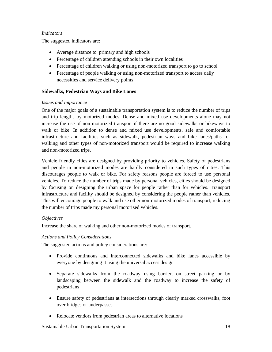## *Indicators*

The suggested indicators are:

- Average distance to primary and high schools
- Percentage of children attending schools in their own localities
- Percentage of children walking or using non-motorized transport to go to school
- Percentage of people walking or using non-motorized transport to access daily necessities and service delivery points

## **Sidewalks, Pedestrian Ways and Bike Lanes**

## *Issues and Importance*

One of the major goals of a sustainable transportation system is to reduce the number of trips and trip lengths by motorized modes. Dense and mixed use developments alone may not increase the use of non-motorized transport if there are no good sidewalks or bikeways to walk or bike. In addition to dense and mixed use developments, safe and comfortable infrastructure and facilities such as sidewalk, pedestrian ways and bike lanes/paths for walking and other types of non-motorized transport would be required to increase walking and non-motorized trips.

Vehicle friendly cities are designed by providing priority to vehicles. Safety of pedestrians and people in non-motorized modes are hardly considered in such types of cities. This discourages people to walk or bike. For safety reasons people are forced to use personal vehicles. To reduce the number of trips made by personal vehicles, cities should be designed by focusing on designing the urban space for people rather than for vehicles. Transport infrastructure and facility should be designed by considering the people rather than vehicles. This will encourage people to walk and use other non-motorized modes of transport, reducing the number of trips made my personal motorized vehicles.

## *Objectives*

Increase the share of walking and other non-motorized modes of transport.

## *Actions and Policy Considerations*

The suggested actions and policy considerations are:

- Provide continuous and interconnected sidewalks and bike lanes accessible by everyone by designing it using the universal access design
- Separate sidewalks from the roadway using barrier, on street parking or by landscaping between the sidewalk and the roadway to increase the safety of pedestrians
- Ensure safety of pedestrians at intersections through clearly marked crosswalks, foot over bridges or underpasses
- Relocate vendors from pedestrian areas to alternative locations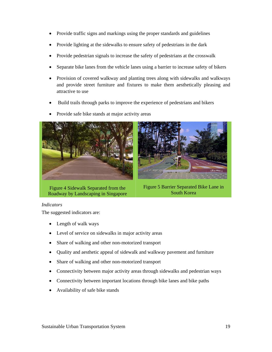- Provide traffic signs and markings using the proper standards and guidelines
- Provide lighting at the sidewalks to ensure safety of pedestrians in the dark
- Provide pedestrian signals to increase the safety of pedestrians at the crosswalk
- Separate bike lanes from the vehicle lanes using a barrier to increase safety of bikers
- Provision of covered walkway and planting trees along with sidewalks and walkways and provide street furniture and fixtures to make them aesthetically pleasing and attractive to use
- Build trails through parks to improve the experience of pedestrians and bikers
- Provide safe bike stands at major activity areas



Figure 4 Sidewalk Separated from the Roadway by Landscaping in Singapore

Figure 5 Barrier Separated Bike Lane in South Korea

#### *Indicators*

The suggested indicators are:

- Length of walk ways
- Level of service on sidewalks in major activity areas
- Share of walking and other non-motorized transport
- Quality and aesthetic appeal of sidewalk and walkway pavement and furniture
- Share of walking and other non-motorized transport
- Connectivity between major activity areas through sidewalks and pedestrian ways
- Connectivity between important locations through bike lanes and bike paths
- Availability of safe bike stands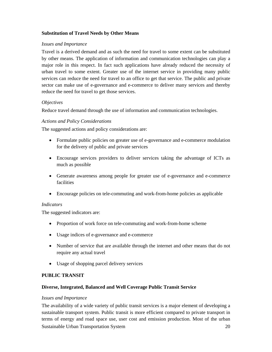## **Substitution of Travel Needs by Other Means**

## *Issues and Importance*

Travel is a derived demand and as such the need for travel to some extent can be substituted by other means. The application of information and communication technologies can play a major role in this respect. In fact such applications have already reduced the necessity of urban travel to some extent. Greater use of the internet service in providing many public services can reduce the need for travel to an office to get that service. The public and private sector can make use of e-governance and e-commerce to deliver many services and thereby reduce the need for travel to get those services.

## *Objectives*

Reduce travel demand through the use of information and communication technologies.

## *Actions and Policy Considerations*

The suggested actions and policy considerations are:

- Formulate public policies on greater use of e-governance and e-commerce modulation for the delivery of public and private services
- Encourage services providers to deliver services taking the advantage of ICTs as much as possible
- Generate awareness among people for greater use of e-governance and e-commerce facilities
- Encourage policies on tele-commuting and work-from-home policies as applicable

#### *Indicators*

The suggested indicators are:

- Proportion of work force on tele-commuting and work-from-home scheme
- Usage indices of e-governance and e-commerce
- Number of service that are available through the internet and other means that do not require any actual travel
- Usage of shopping parcel delivery services

#### **PUBLIC TRANSIT**

## **Diverse, Integrated, Balanced and Well Coverage Public Transit Service**

#### *Issues and Importance*

Sustainable Urban Transportation System 20 The availability of a wide variety of public transit services is a major element of developing a sustainable transport system. Public transit is more efficient compared to private transport in terms of energy and road space use, user cost and emission production. Most of the urban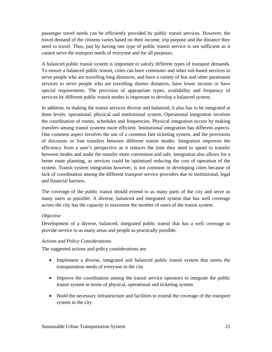passenger travel needs can be efficiently provided by public transit services. However, the travel demand of the citizens varies based on their income, trip purpose and the distance they need to travel. Thus, just by having one type of public transit service is not sufficient as it cannot serve the transport needs of everyone and for all purposes.

A balanced public transit system is important to satisfy different types of transport demands. To ensure a balanced public transit, cities can have commuter and other rail-based services to serve people who are travelling long distances, and have a variety of bus and other paratransit services to serve people who are travelling shorter distances, have lower income or have special requirements. The provision of appropriate types, availability and frequency of services by different public transit modes is important to develop a balanced system.

In addition, to making the transit services diverse and balanced, it also has to be integrated at three levels: operational, physical and institutional system. Operational integration involves the coordination of routes, schedules and frequencies. Physical integration occurs by making transfers among transit systems more efficient. Institutional integration has different aspects. One common aspect involves the use of a common fare ticketing system, and the provisions of discounts or free transfers between different transit modes. Integration improves the efficiency from a user's perspective as it reduces the time they need to spend to transfer between modes and make the transfer more convenient and safe. Integration also allows for a better route planning, as services could be optimized reducing the cost of operation of the system. Transit system integration however, is not common in developing cities because of lack of coordination among the different transport service providers due to institutional, legal and financial barriers.

The coverage of the public transit should extend to as many parts of the city and serve as many users as possible. A diverse, balanced and integrated system that has well coverage across the city has the capacity to maximize the number of users of the transit system.

#### *Objective*

Development of a diverse, balanced, integrated public transit that has a well coverage to provide service to as many areas and people as practically possible.

## *Actions and Policy Considerations*

The suggested actions and policy considerations are:

- Implement a diverse, integrated and balanced public transit system that meets the transportation needs of everyone in the city
- Improve the coordination among the transit service operators to integrate the public transit system in terms of physical, operational and ticketing system
- Build the necessary infrastructure and facilities to extend the coverage of the transport system in the city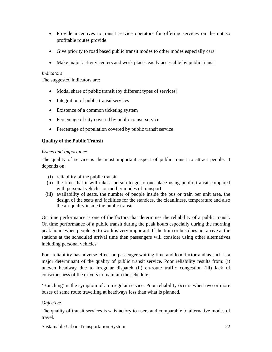- Provide incentives to transit service operators for offering services on the not so profitable routes provide
- Give priority to road based public transit modes to other modes especially cars
- Make major activity centers and work places easily accessible by public transit

## *Indicators*

The suggested indicators are:

- Modal share of public transit (by different types of services)
- Integration of public transit services
- Existence of a common ticketing system
- Percentage of city covered by public transit service
- Percentage of population covered by public transit service

## **Quality of the Public Transit**

## *Issues and Importance*

The quality of service is the most important aspect of public transit to attract people. It depends on:

- (i) reliability of the public transit
- (ii) the time that it will take a person to go to one place using public transit compared with personal vehicles or mother modes of transport
- (iii) availability of seats, the number of people inside the bus or train per unit area, the design of the seats and facilities for the standees, the cleanliness, temperature and also the air quality inside the public transit

On time performance is one of the factors that determines the reliability of a public transit. On time performance of a public transit during the peak hours especially during the morning peak hours when people go to work is very important. If the train or bus does not arrive at the stations at the scheduled arrival time then passengers will consider using other alternatives including personal vehicles.

Poor reliability has adverse effect on passenger waiting time and load factor and as such is a major determinant of the quality of public transit service. Poor reliability results from: (i) uneven headway due to irregular dispatch (ii) en-route traffic congestion (iii) lack of consciousness of the drivers to maintain the schedule.

'Bunching' is the symptom of an irregular service. Poor reliability occurs when two or more buses of same route travelling at headways less than what is planned.

## *Objective*

The quality of transit services is satisfactory to users and comparable to alternative modes of travel.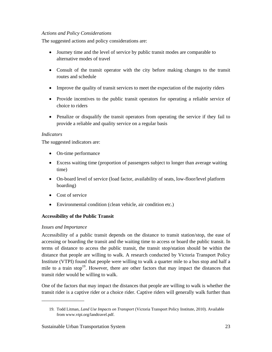## *Actions and Policy Considerations*

The suggested actions and policy considerations are:

- Journey time and the level of service by public transit modes are comparable to alternative modes of travel
- Consult of the transit operator with the city before making changes to the transit routes and schedule
- Improve the quality of transit services to meet the expectation of the majority riders
- Provide incentives to the public transit operators for operating a reliable service of choice to riders
- Penalize or disqualify the transit operators from operating the service if they fail to provide a reliable and quality service on a regular basis

## *Indicators*

The suggested indicators are:

- On-time performance
- Excess waiting time (proportion of passengers subject to longer than average waiting time)
- On-board level of service (load factor, availability of seats, low-floor/level platform boarding)
- Cost of service
- Environmental condition (clean vehicle, air condition etc.)

## **Accessibility of the Public Transit**

#### *Issues and Importance*

\_\_\_\_\_\_\_\_\_\_\_\_\_\_\_\_\_

Accessibility of a public transit depends on the distance to transit station/stop, the ease of accessing or boarding the transit and the waiting time to access or board the public transit. In terms of distance to access the public transit, the transit stop/station should be within the distance that people are willing to walk. A research conducted by Victoria Transport Policy Institute (VTPI) found that people were willing to walk a quarter mile to a bus stop and half a mile to a train stop<sup>19</sup>. However, there are other factors that may impact the distances that transit rider would be willing to walk.

One of the factors that may impact the distances that people are willing to walk is whether the transit rider is a captive rider or a choice rider. Captive riders will generally walk further than

<sup>19.</sup> Todd Litman, *Land Use Impacts on Transport* (Victoria Transport Policy Institute, 2010). Available from www.vtpi.org/landtravel.pdf.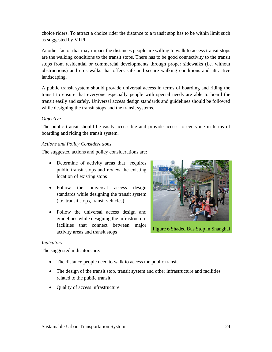choice riders. To attract a choice rider the distance to a transit stop has to be within limit such as suggested by VTPI.

Another factor that may impact the distances people are willing to walk to access transit stops are the walking conditions to the transit stops. There has to be good connectivity to the transit stops from residential or commercial developments through proper sidewalks (i.e. without obstructions) and crosswalks that offers safe and secure walking conditions and attractive landscaping.

A public transit system should provide universal access in terms of boarding and riding the transit to ensure that everyone especially people with special needs are able to board the transit easily and safely. Universal access design standards and guidelines should be followed while designing the transit stops and the transit systems.

## *Objective*

The public transit should be easily accessible and provide access to everyone in terms of boarding and riding the transit system.

## *Actions and Policy Considerations*

The suggested actions and policy considerations are:

- Determine of activity areas that requires public transit stops and review the existing location of existing stops
- Follow the universal access design standards while designing the transit system (i.e. transit stops, transit vehicles)
- Follow the universal access design and guidelines while designing the infrastructure facilities that connect between major activity areas and transit stops



Figure 6 Shaded Bus Stop in Shanghai

#### *Indicators*

The suggested indicators are:

- The distance people need to walk to access the public transit
- The design of the transit stop, transit system and other infrastructure and facilities related to the public transit
- Quality of access infrastructure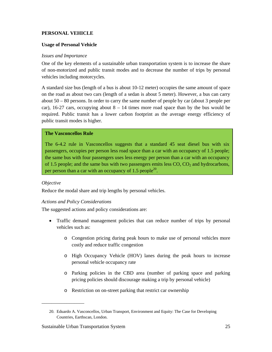## **PERSONAL VEHICLE**

#### **Usage of Personal Vehicle**

#### *Issues and Importance*

One of the key elements of a sustainable urban transportation system is to increase the share of non-motorized and public transit modes and to decrease the number of trips by personal vehicles including motorcycles.

A standard size bus (length of a bus is about 10-12 meter) occupies the same amount of space on the road as about two cars (length of a sedan is about 5 meter). However, a bus can carry about 50 – 80 persons. In order to carry the same number of people by car (about 3 people per car), 16-27 cars, occupying about  $8 - 14$  times more road space than by the bus would be required. Public transit has a lower carbon footprint as the average energy efficiency of public transit modes is higher.

#### **The Vasconcellos Rule**

The 6-4.2 rule in Vasconcellos suggests that a standard 45 seat diesel bus with six passengers, occupies per person less road space than a car with an occupancy of 1.5 people; the same bus with four passengers uses less energy per person than a car with an occupancy of 1.5 people; and the same bus with two passengers emits less  $CO$ ,  $CO<sub>2</sub>$  and hydrocarbons, per person than a car with an occupancy of 1.5 people<sup>20</sup>.

#### *Objective*

Reduce the modal share and trip lengths by personal vehicles.

#### *Actions and Policy Considerations*

The suggested actions and policy considerations are:

- Traffic demand management policies that can reduce number of trips by personal vehicles such as:
	- o Congestion pricing during peak hours to make use of personal vehicles more costly and reduce traffic congestion
	- o High Occupancy Vehicle (HOV) lanes during the peak hours to increase personal vehicle occupancy rate
	- o Parking policies in the CBD area (number of parking space and parking pricing policies should discourage making a trip by personal vehicle)
	- o Restriction on on-street parking that restrict car ownership

<sup>20.</sup> Eduardo A. Vasconcellos, Urban Transport, Environment and Equity: The Case for Developing Countries, Earthscan, London.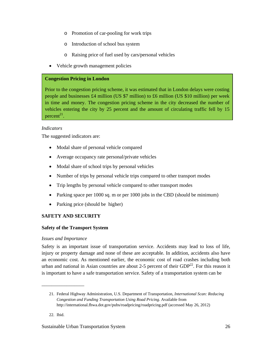- o Promotion of car-pooling for work trips
- o Introduction of school bus system
- o Raising price of fuel used by cars/personal vehicles
- Vehicle growth management policies

## **Congestion Pricing in London**

Prior to the congestion pricing scheme, it was estimated that in London delays were costing people and businesses £4 million (US \$7 million) to £6 million (US \$10 million) per week in time and money. The congestion pricing scheme in the city decreased the number of vehicles entering the city by 25 percent and the amount of circulating traffic fell by 15 percent<sup>21</sup>.

## *Indicators*

The suggested indicators are:

- Modal share of personal vehicle compared
- Average occupancy rate personal/private vehicles
- Modal share of school trips by personal vehicles
- Number of trips by personal vehicle trips compared to other transport modes
- Trip lengths by personal vehicle compared to other transport modes
- Parking space per 1000 sq. m or per 1000 jobs in the CBD (should be minimum)
- Parking price (should be higher)

## **SAFETY AND SECURITY**

## **Safety of the Transport System**

## *Issues and Importance*

\_\_\_\_\_\_\_\_\_\_\_\_\_\_\_\_\_

Safety is an important issue of transportation service. Accidents may lead to loss of life, injury or property damage and none of these are acceptable. In addition, accidents also have an economic cost. As mentioned earlier, the economic cost of road crashes including both urban and national in Asian countries are about 2-5 percent of their  $GDP<sup>22</sup>$ . For this reason it is important to have a safe transportation service. Safety of a transportation system can be

22. Ibid.

<sup>21.</sup> Federal Highway Administration, U.S. Department of Transportation, *International Scan: Reducing Congestion and Funding Transportation Using Road Pricing*. Available from http://international.fhwa.dot.gov/pubs/roadpricing/roadpricing.pdf (accessed May 26, 2012)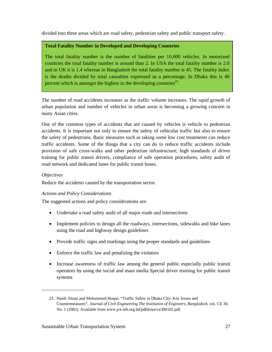divided into three areas which are road safety, pedestrian safety and public transport safety.

## **Total Fatality Number in Developed and Developing Countries**

The total fatality number is the number of fatalities per 10,000 vehicles. In motorized countries the total fatality number is around than 2. In USA the total fatality number is 2.0 and in UK it is 1.4 whereas in Bangladesh the total fatality number is 45. The fatality index is the deaths divided by total casualties expressed as a percentage. In Dhaka this is 40 percent which is amongst the highest in the developing countries<sup>23</sup>.

The number of road accidents increases as the traffic volume increases. The rapid growth of urban population and number of vehicles in urban areas is becoming a growing concern in many Asian cities.

One of the common types of accidents that are caused by vehicles is vehicle to pedestrian accidents. It is important not only to ensure the safety of vehicular traffic but also to ensure the safety of pedestrians. Basic measures such as taking some low cost treatments can reduce traffic accidents. Some of the things that a city can do to reduce traffic accidents include provision of safe cross-walks and other pedestrian infrastructure, high standards of driver training for public transit drivers, compliance of safe operation procedures, safety audit of road network and dedicated lanes for public transit buses.

## *Objectives*

Reduce the accidents caused by the transportation sector.

## *Actions and Policy Considerations*

The suggested actions and policy considerations are:

- Undertake a road safety audit of all major roads and intersections
- Implement policies to design all the roadways, intersections, sidewalks and bike lanes using the road and highway design guidelines
- Provide traffic signs and markings using the proper standards and guidelines
- Enforce the traffic law and penalizing the violators
- Increase awareness of traffic law among the general public especially public transit operators by using the social and mass media Special driver training for public transit systems

<sup>23.</sup> Hasib Ahsan and Mohammed Hoque. "Traffic Safety in Dhaka City: Key Issues and Countermeasures", *Journal of Civil Engineering The Institution of Engineers, Bangladesh*, vol. CE 30, No. 1 (2002). Available from www.jce-ieb.org.bd/pdfdown/ce300102.pdf.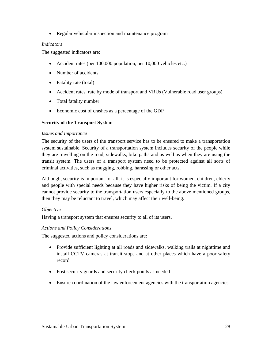• Regular vehicular inspection and maintenance program

## *Indicators*

The suggested indicators are:

- Accident rates (per 100,000 population, per 10,000 vehicles etc.)
- Number of accidents
- Fatality rate (total)
- Accident rates rate by mode of transport and VRUs (Vulnerable road user groups)
- Total fatality number
- Economic cost of crashes as a percentage of the GDP

## **Security of the Transport System**

## *Issues and Importance*

The security of the users of the transport service has to be ensured to make a transportation system sustainable. Security of a transportation system includes security of the people while they are travelling on the road, sidewalks, bike paths and as well as when they are using the transit system. The users of a transport system need to be protected against all sorts of criminal activities, such as mugging, robbing, harassing or other acts.

Although, security is important for all, it is especially important for women, children, elderly and people with special needs because they have higher risks of being the victim. If a city cannot provide security to the transportation users especially to the above mentioned groups, then they may be reluctant to travel, which may affect their well-being.

## *Objective*

Having a transport system that ensures security to all of its users.

## *Actions and Policy Considerations*

The suggested actions and policy considerations are:

- Provide sufficient lighting at all roads and sidewalks, walking trails at nighttime and install CCTV cameras at transit stops and at other places which have a poor safety record
- Post security guards and security check points as needed
- Ensure coordination of the law enforcement agencies with the transportation agencies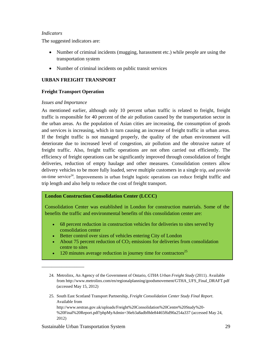#### *Indicators*

The suggested indicators are:

- Number of criminal incidents (mugging, harassment etc.) while people are using the transportation system
- Number of criminal incidents on public transit services

## **URBAN FREIGHT TRANSPORT**

## **Freight Transport Operation**

## *Issues and Importance*

As mentioned earlier, although only 10 percent urban traffic is related to freight, freight traffic is responsible for 40 percent of the air pollution caused by the transportation sector in the urban areas. As the population of Asian cities are increasing, the consumption of goods and services is increasing, which in turn causing an increase of freight traffic in urban areas. If the freight traffic is not managed properly, the quality of the urban environment will deteriorate due to increased level of congestion, air pollution and the obtrusive nature of freight traffic. Also, freight traffic operations are not often carried out efficiently. The efficiency of freight operations can be significantly improved through consolidation of freight deliveries, reduction of empty haulage and other measures. Consolidation centers allow delivery vehicles to be more fully loaded, serve multiple customers in a single trip, and provide on-time service<sup>24</sup>. Improvements in urban freight logistic operations can reduce freight traffic and trip length and also help to reduce the cost of freight transport.

## **London Construction Consolidation Center (LCCC)**

Consolidation Center was established in London for construction materials. Some of the benefits the traffic and environmental benefits of this consolidation center are:

- 68 percent reduction in construction vehicles for deliveries to sites served by consolidation center
- Better control over sizes of vehicles entering City of London
- About 75 percent reduction of  $CO<sub>2</sub>$  emissions for deliveries from consolidation centre to sites
- 120 minutes average reduction in journey time for contractors<sup>25</sup>
- 24. Metrolinx, An Agency of the Government of Ontario, *GTHA Urban Freight Study* (2011). Available from http://www.metrolinx.com/en/regionalplanning/goodsmovement/GTHA\_UFS\_Final\_DRAFT.pdf (accessed May 15, 2012)
- 25. South East Scotland Transport Partnership, *Freight Consolidation Center Study Final Report*. Available from http://www.sestran.gov.uk/uploads/Freight%20Consolidation%20Centre%20Study%20- %20Final%20Report.pdf?phpMyAdmin=36eb3a8adbf8de84465f6d90a254a337 (accessed May 24, 2012)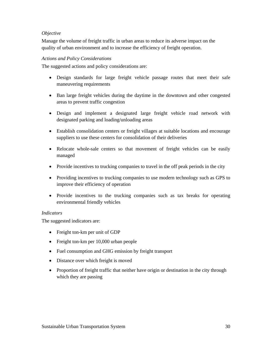## *Objective*

Manage the volume of freight traffic in urban areas to reduce its adverse impact on the quality of urban environment and to increase the efficiency of freight operation.

## *Actions and Policy Considerations*

The suggested actions and policy considerations are:

- Design standards for large freight vehicle passage routes that meet their safe maneuvering requirements
- Ban large freight vehicles during the daytime in the downtown and other congested areas to prevent traffic congestion
- Design and implement a designated large freight vehicle road network with designated parking and loading/unloading areas
- Establish consolidation centers or freight villages at suitable locations and encourage suppliers to use these centers for consolidation of their deliveries
- Relocate whole-sale centers so that movement of freight vehicles can be easily managed
- Provide incentives to trucking companies to travel in the off peak periods in the city
- Providing incentives to trucking companies to use modern technology such as GPS to improve their efficiency of operation
- Provide incentives to the trucking companies such as tax breaks for operating environmental friendly vehicles

## *Indicators*

The suggested indicators are:

- Freight ton-km per unit of GDP
- Freight ton-km per 10,000 urban people
- Fuel consumption and GHG emission by freight transport
- Distance over which freight is moved
- Proportion of freight traffic that neither have origin or destination in the city through which they are passing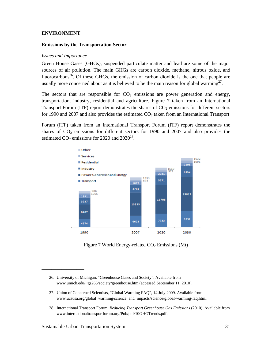#### **ENVIRONMENT**

#### **Emissions by the Transportation Sector**

#### *Issues and Importance*

Green House Gases (GHGs), suspended particulate matter and lead are some of the major sources of air pollution. The main GHGs are carbon dioxide, methane, nitrous oxide, and fluorocarbons<sup>26</sup>. Of these GHGs, the emission of carbon dioxide is the one that people are usually more concerned about as it is believed to be the main reason for global warming<sup>27</sup>.

The sectors that are responsible for  $CO<sub>2</sub>$  emissions are power generation and energy, transportation, industry, residential and agriculture. Figure 7 taken from an International Transport Forum (ITF) report demonstrates the shares of  $CO<sub>2</sub>$  emissions for different sectors for 1990 and 2007 and also provides the estimated  $CO<sub>2</sub>$  taken from an International Transport

Forum (ITF) taken from an International Transport Forum (ITF) report demonstrates the shares of  $CO<sub>2</sub>$  emissions for different sectors for 1990 and 2007 and also provides the estimated  $CO_2$  emissions for 2020 and 2030<sup>28</sup>.



Figure 7 World Energy-related  $CO<sub>2</sub>$  Emissions (Mt)

- 26. University of Michigan, "Greenhouse Gases and Society". Available from www.umich.edu/~gs265/society/greenhouse.htm (accessed September 11, 2010).
- 27. Union of Concerned Scientists, "Global Warming FAQ", 14 July 2009. Available from www.ucsusa.org/global\_warming/science\_and\_impacts/science/global-warming-faq.html.
- 28. International Transport Forum, *Reducing Transport Greenhouse Gas Emissions* (2010). Available from www.internationaltransportforum.org/Pub/pdf/10GHGTrends.pdf.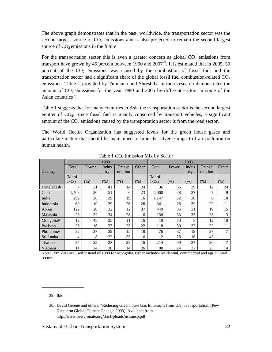The above graph demonstrates that in the past, worldwide, the transportation sector was the second largest source of  $CO<sub>2</sub>$  emissions and is also projected to remain the second largest source of  $CO<sub>2</sub>$  emissions in the future.

For the transportation sector this is even a greater concern as global  $CO<sub>2</sub>$  emissions from transport have grown by 45 percent between 1990 and  $2007<sup>29</sup>$ . It is estimated that in 2005, 59 percent of the  $CO<sub>2</sub>$  emissions was caused by the combustion of fossil fuel and the transportation sector had a significant share of the global fossil fuel combustion-related  $CO<sub>2</sub>$ emissions. Table 1 provided by Timilsina and Shreshtha in their research demonstrates the amount of  $CO<sub>2</sub>$  emissions for the year 1980 and 2005 by different sectors in some of the Asian countries $30$ .

Table 1 suggests that for many countries in Asia the transportation sector is the second largest emitter of  $CO<sub>2</sub>$ . Since fossil fuel is mainly consumed by transport vehicles, a significant amount of the  $CO<sub>2</sub>$  emissions caused by the transportation sector is from the road sector.

The World Health Organization has suggested levels for the green house gases and particulate matter that should be maintained to limit the adverse impact of air pollution on human health.

|             |                 |         | 1980    |          |       | 2005    |       |       |                |       |
|-------------|-----------------|---------|---------|----------|-------|---------|-------|-------|----------------|-------|
|             | Total           | Power   | Indus   | Transp   | Other | Total   | Power | Indus | Transp         | Other |
| Country     |                 |         | try     | ortation |       |         |       | try   | ortation       |       |
|             | (Mt of          |         |         |          |       | (Mt of) |       |       |                |       |
|             | CO <sub>2</sub> | $(\% )$ | $(\% )$ | (% )     | (% )  | $CO2$ ) | (% )  | (% )  | (% )           | (% )  |
| Bangladesh  | $\mathcal{I}$   | 21      | 41      | 14       | 24    | 36      | 35    | 29    | 12             | 24    |
| China       | 1,403           | 20      | 51      | 6        | 23    | 5,060   | 48    | 37    | $\overline{7}$ | 9     |
| India       | 292             | 26      | 39      | 19       | 16    | 1,147   | 52    | 30    | 8              | 10    |
| Indonesia   | 69              | 10      | 39      | 26       | 26    | 341     | 28    | 39    | 22             | 11    |
| Korea       | 122             | 20      | 32      | 12       | 37    | 449     | 35    | 31    | 19             | 15    |
| Malaysia    | 23              | 32      | 34      | 28       | 6     | 138     | 33    | 35    | 28             | 3     |
| Mongolia#   | 12              | 48      | 25      | 11       | 16    | 10      | 70    | 8     | 12             | 10    |
| Pakistan    | 26              | 16      | 37      | 25       | 22    | 118     | 30    | 37    | 22             | 11    |
| Philippines | 32              | 27      | 39      | 15       | 18    | 76      | 37    | 19    | 37             | 7     |
| Sri Lanka   | 4               | 8       | 22      | 55       | 16    | 12      | 28    | 16    | 45             | 11    |
| Thailand    | 34              | 33      | 23      | 28       | 16    | 214     | 30    | 37    | 26             | 7     |
| Vietnam     | 14              | 24      | 36      | 14       | 26    | 80      | 24    | 37    | 25             | 14    |

Table  $1 \text{ CO}_2$  Emission Mix by Sector

Note: 1985 data are used instead of 1980 for Mongolia. Other includes residential, commercial and agricultural sectors.

<sup>29.</sup> Ibid.

<sup>30.</sup> David Greene and others, "Reducing Greenhouse Gas Emissions from U.S. Transportation, (Pew Center on Global Climate Change, 2003). Available from http://www.pewclimate.org/docUploads/ustransp.pdf.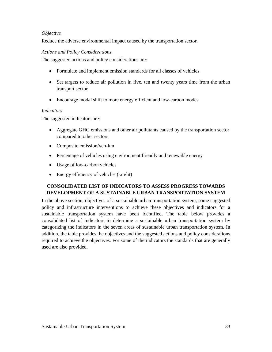## *Objective*

Reduce the adverse environmental impact caused by the transportation sector.

#### *Actions and Policy Considerations*

The suggested actions and policy considerations are:

- Formulate and implement emission standards for all classes of vehicles
- Set targets to reduce air pollution in five, ten and twenty years time from the urban transport sector
- Encourage modal shift to more energy efficient and low-carbon modes

## *Indicators*

The suggested indicators are:

- Aggregate GHG emissions and other air pollutants caused by the transportation sector compared to other sectors
- Composite emission/veh-km
- Percentage of vehicles using environment friendly and renewable energy
- Usage of low-carbon vehicles
- Energy efficiency of vehicles (km/lit)

## **CONSOLIDATED LIST OF INDICATORS TO ASSESS PROGRESS TOWARDS DEVELOPMENT OF A SUSTAINABLE URBAN TRANSPORTATION SYSTEM**

In the above section, objectives of a sustainable urban transportation system, some suggested policy and infrastructure interventions to achieve these objectives and indicators for a sustainable transportation system have been identified. The table below provides a consolidated list of indicators to determine a sustainable urban transportation system by categorizing the indicators in the seven areas of sustainable urban transportation system. In addition, the table provides the objectives and the suggested actions and policy considerations required to achieve the objectives. For some of the indicators the standards that are generally used are also provided.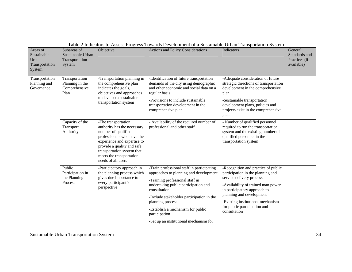| Areas of<br>Sustainable<br>Urban<br>Transportation<br>System | Subareas of<br>Sustainable Urban<br>Transportation<br>System | Objective                                                                                                                                                                                                                                            | <b>Actions and Policy Considerations</b>                                                                                                                                                                                                                                                                                                         | <b>Indicators</b>                                                                                                                                                                                                                                                                           | General<br>Standards and<br>Practices (if<br>available) |
|--------------------------------------------------------------|--------------------------------------------------------------|------------------------------------------------------------------------------------------------------------------------------------------------------------------------------------------------------------------------------------------------------|--------------------------------------------------------------------------------------------------------------------------------------------------------------------------------------------------------------------------------------------------------------------------------------------------------------------------------------------------|---------------------------------------------------------------------------------------------------------------------------------------------------------------------------------------------------------------------------------------------------------------------------------------------|---------------------------------------------------------|
| Transportation<br>Planning and<br>Governance                 | Transportation<br>Planning in the<br>Comprehensive<br>Plan   | -Transportation planning in<br>the comprehensive plan<br>indicates the goals,<br>objectives and approaches<br>to develop a sustainable<br>transportation system                                                                                      | -Identification of future transportation<br>demands of the city using demographic<br>and other economic and social data on a<br>regular basis<br>-Provisions to include sustainable<br>transportation development in the<br>comprehensive plan                                                                                                   | -Adequate consideration of future<br>strategic directions of transportation<br>development in the comprehensive<br>plan<br>-Sustainable transportation<br>development plans, policies and<br>projects exist in the comprehensive<br>plan                                                    |                                                         |
|                                                              | Capacity of the<br>Transport<br>Authority                    | -The transportation<br>authority has the necessary<br>number of qualified<br>professionals who have the<br>experience and expertise to<br>provide a quality and safe<br>transportation system that<br>meets the transportation<br>needs of all users | - Availability of the required number of<br>professional and other staff                                                                                                                                                                                                                                                                         | - Number of qualified personnel<br>required to run the transportation<br>system and the existing number of<br>qualified personnel in the<br>transportation system                                                                                                                           |                                                         |
|                                                              | Public<br>Participation in<br>the Planning<br>Process        | -Participatory approach in<br>the planning process which<br>gives due importance to<br>every participant's<br>perspective                                                                                                                            | -Train professional staff in participating<br>approaches to planning and development<br>-Training professional staff in<br>undertaking public participation and<br>consultation<br>-Include stakeholder participation in the<br>planning process<br>-Establish a mechanism for public<br>participation<br>-Set up an institutional mechanism for | -Recognition and practice of public<br>participation in the planning and<br>service delivery process<br>-Availability of trained man power<br>in participatory approach to<br>planning and development<br>-Existing institutional mechanism<br>for public participation and<br>consultation |                                                         |

## Table 2 Indicators to Assess Progress Towards Development of a Sustainable Urban Transportation System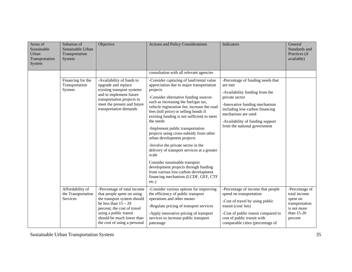| Areas of<br>Sustainable<br>Urban<br>Transportation<br>System | Subareas of<br>Sustainable Urban<br>Transportation<br>System | Objective                                                                                                                                                                                                                                | <b>Actions and Policy Considerations</b>                                                                                                                                                                                                                                                                                                                                                                                                                                                                                                                                                                                                                                                                         | <b>Indicators</b>                                                                                                                                                                                                                                             | General<br>Standards and<br>Practices (if<br>available)                                              |
|--------------------------------------------------------------|--------------------------------------------------------------|------------------------------------------------------------------------------------------------------------------------------------------------------------------------------------------------------------------------------------------|------------------------------------------------------------------------------------------------------------------------------------------------------------------------------------------------------------------------------------------------------------------------------------------------------------------------------------------------------------------------------------------------------------------------------------------------------------------------------------------------------------------------------------------------------------------------------------------------------------------------------------------------------------------------------------------------------------------|---------------------------------------------------------------------------------------------------------------------------------------------------------------------------------------------------------------------------------------------------------------|------------------------------------------------------------------------------------------------------|
|                                                              |                                                              |                                                                                                                                                                                                                                          | consultation with all relevant agencies                                                                                                                                                                                                                                                                                                                                                                                                                                                                                                                                                                                                                                                                          |                                                                                                                                                                                                                                                               |                                                                                                      |
|                                                              | Financing for the<br>Transportation<br>System                | -Availability of funds to<br>upgrade and replace<br>existing transport systems<br>and to implement future<br>transportation projects to<br>meet the present and future<br>transportation demands                                         | -Consider capturing of land/rental value<br>appreciation due to major transportation<br>projects<br>-Consider alternative funding sources<br>such as increasing the fuel/gas tax,<br>vehicle registration fee, increase the road<br>fees (toll price) or selling bonds if<br>existing funding is not sufficient to meet<br>the needs<br>-Implement public transportation<br>projects using cross-subsidy from other<br>urban development projects<br>-Involve the private sector in the<br>delivery of transport services at a greater<br>scale<br>Consider sustainable transport<br>development projects through funding<br>from various low-carbon development<br>financing mechanism (LCDF, GEF, CTF<br>etc.) | -Percentage of funding needs that<br>are met<br>-Availability funding from the<br>private sector<br>-Innovative funding mechanism<br>including low-carbon financing<br>mechanism are used<br>-Availability of funding support<br>from the national government |                                                                                                      |
|                                                              | Affordability of<br>the Transportation<br><b>Services</b>    | -Percentage of total income<br>that people spent on using<br>the transport system should<br>be less than $15 - 20$<br>percent; the cost of travel<br>using a public transit<br>should be much lower than<br>the cost of using a personal | -Consider various options for improving<br>the efficiency of public transport<br>operations and other means<br>-Regulate pricing of transport services<br>-Apply innovative pricing of transport<br>services to increase public transport<br>patronage                                                                                                                                                                                                                                                                                                                                                                                                                                                           | -Percentage of income that people<br>spend on transportation<br>-Cost of travel by using public<br>transit (cost/km)<br>-Cost of public transit compared to<br>cost of public transit with<br>comparable cities (percentage of                                | -Percentage of<br>total income<br>spent on<br>transportation<br>is not more<br>than 15-20<br>percent |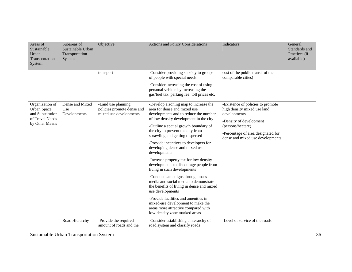| Areas of<br>Sustainable<br>Urban<br>Transportation<br>System                                   | Subareas of<br>Sustainable Urban<br>Transportation<br>System | Objective                                                                  | <b>Actions and Policy Considerations</b>                                                                                                                                                                                                                                                                                                                                                                                                                                                                                                                                                                                                                                                                                                                                                  | Indicators                                                                                                                                                                                                 | General<br>Standards and<br>Practices (if<br>available) |
|------------------------------------------------------------------------------------------------|--------------------------------------------------------------|----------------------------------------------------------------------------|-------------------------------------------------------------------------------------------------------------------------------------------------------------------------------------------------------------------------------------------------------------------------------------------------------------------------------------------------------------------------------------------------------------------------------------------------------------------------------------------------------------------------------------------------------------------------------------------------------------------------------------------------------------------------------------------------------------------------------------------------------------------------------------------|------------------------------------------------------------------------------------------------------------------------------------------------------------------------------------------------------------|---------------------------------------------------------|
|                                                                                                |                                                              | transport                                                                  | -Consider providing subsidy to groups<br>of people with special needs<br>-Consider increasing the cost of using<br>personal vehicle by increasing the<br>gas/fuel tax, parking fee, toll prices etc.                                                                                                                                                                                                                                                                                                                                                                                                                                                                                                                                                                                      | cost of the public transit of the<br>comparable cities)                                                                                                                                                    |                                                         |
| Organization of<br><b>Urban Space</b><br>and Substitution<br>of Travel Needs<br>by Other Means | Dense and Mixed<br>Use<br>Developments                       | -Land use planning<br>policies promote dense and<br>mixed use developments | -Develop a zoning map to increase the<br>area for dense and mixed use<br>developments and to reduce the number<br>of low density development in the city<br>-Outline a spatial growth boundary of<br>the city to prevent the city from<br>sprawling and getting dispersed<br>-Provide incentives to developers for<br>developing dense and mixed use<br>developments<br>-Increase property tax for low density<br>developments to discourage people from<br>living in such developments<br>-Conduct campaigns through mass<br>media and social media to demonstrate<br>the benefits of living in dense and mixed<br>use developments<br>-Provide facilities and amenities in<br>mixed-use development to make the<br>areas more attractive compared with<br>low-density zone marked areas | -Existence of policies to promote<br>high density mixed use land<br>developments<br>-Density of development<br>(persons/hectare)<br>-Percentage of area designated for<br>dense and mixed use developments |                                                         |
|                                                                                                | Road Hierarchy                                               | -Provide the required<br>amount of roads and the                           | -Consider establishing a hierarchy of<br>road system and classify roads                                                                                                                                                                                                                                                                                                                                                                                                                                                                                                                                                                                                                                                                                                                   | -Level of service of the roads                                                                                                                                                                             |                                                         |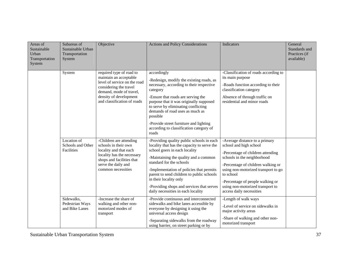| Areas of<br>Sustainable<br>Urban<br>Transportation<br>System | Subareas of<br>Sustainable Urban<br>Transportation<br>System | Objective                                                                                                                                                                                        | <b>Actions and Policy Considerations</b>                                                                                                                                                                                                                                                                                                                                                             | Indicators                                                                                                                                                                                                                                                                                                                 | General<br>Standards and<br>Practices (if<br>available) |
|--------------------------------------------------------------|--------------------------------------------------------------|--------------------------------------------------------------------------------------------------------------------------------------------------------------------------------------------------|------------------------------------------------------------------------------------------------------------------------------------------------------------------------------------------------------------------------------------------------------------------------------------------------------------------------------------------------------------------------------------------------------|----------------------------------------------------------------------------------------------------------------------------------------------------------------------------------------------------------------------------------------------------------------------------------------------------------------------------|---------------------------------------------------------|
|                                                              | System                                                       | required type of road to<br>maintain an acceptable<br>level of service on the road<br>considering the travel<br>demand, mode of travel,<br>density of development<br>and classification of roads | accordingly<br>-Redesign, modify the existing roads, as<br>necessary, according to their respective<br>category<br>-Ensure that roads are serving the<br>purpose that it was originally supposed<br>to serve by eliminating conflicting<br>demands of road uses as much as<br>possible<br>-Provide street furniture and lighting<br>according to classification category of<br>roads                 | -Classification of roads according to<br>its main purpose<br>-Roads function according to their<br>classification category<br>Absence of through traffic on<br>residential and minor roads                                                                                                                                 |                                                         |
|                                                              | Location of<br>Schools and Other<br>Facilities               | -Children are attending<br>schools in their own<br>locality and that each<br>locality has the necessary<br>shops and facilities that<br>serve the daily and<br>common necessities                | -Providing quality public schools in each<br>locality that has the capacity to serve the<br>school goers in each locality<br>-Maintaining the quality and a common<br>standard for the schools<br>-Implementation of policies that permits<br>parent to send children to public schools<br>in their locality only<br>-Providing shops and services that serves<br>daily necessities in each locality | -Average distance to a primary<br>school and high school<br>-Percentage of children attending<br>schools in the neighborhood<br>-Percentage of children walking or<br>using non-motorized transport to go<br>to school<br>-Percentage of people walking or<br>using non-motorized transport to<br>access daily necessities |                                                         |
|                                                              | Sidewalks,<br>Pedestrian Ways<br>and Bike Lanes              | -Increase the share of<br>walking and other non-<br>motorized modes of<br>transport                                                                                                              | -Provide continuous and interconnected<br>sidewalks and bike lanes accessible by<br>everyone by designing it using the<br>universal access design<br>-Separating sidewalks from the roadway<br>using barrier, on street parking or by                                                                                                                                                                | -Length of walk ways<br>-Level of service on sidewalks in<br>major activity areas<br>-Share of walking and other non-<br>motorized transport                                                                                                                                                                               |                                                         |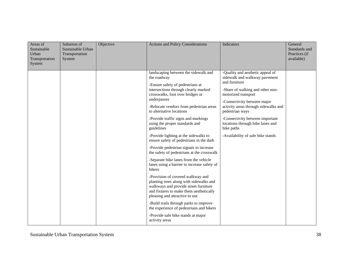| Areas of<br>Sustainable<br>Urban<br>Transportation<br>System | Subareas of<br>Sustainable Urban<br>Transportation<br>System | Objective | <b>Actions and Policy Considerations</b>                                                                                                                                                                                                                                                                                                                                                                                                                                                                                                                                                                                                                                                                                                                                                                                                                                                                                                                                             | <b>Indicators</b>                                                                                                                                                                                                                                                                                                                                                 | General<br>Standards and<br>Practices (if<br>available) |
|--------------------------------------------------------------|--------------------------------------------------------------|-----------|--------------------------------------------------------------------------------------------------------------------------------------------------------------------------------------------------------------------------------------------------------------------------------------------------------------------------------------------------------------------------------------------------------------------------------------------------------------------------------------------------------------------------------------------------------------------------------------------------------------------------------------------------------------------------------------------------------------------------------------------------------------------------------------------------------------------------------------------------------------------------------------------------------------------------------------------------------------------------------------|-------------------------------------------------------------------------------------------------------------------------------------------------------------------------------------------------------------------------------------------------------------------------------------------------------------------------------------------------------------------|---------------------------------------------------------|
|                                                              |                                                              |           | landscaping between the sidewalk and<br>the roadway<br>-Ensure safety of pedestrians at<br>intersections through clearly marked<br>crosswalks, foot over bridges or<br>underpasses<br>-Relocate vendors from pedestrian areas<br>to alternative locations<br>-Provide traffic signs and markings<br>using the proper standards and<br>guidelines<br>-Provide lighting at the sidewalks to<br>ensure safety of pedestrians in the dark<br>-Provide pedestrian signals to increase<br>the safety of pedestrians at the crosswalk<br>-Separate bike lanes from the vehicle<br>lanes using a barrier to increase safety of<br>bikers<br>-Provision of covered walkway and<br>planting trees along with sidewalks and<br>walkways and provide street furniture<br>and fixtures to make them aesthetically<br>pleasing and attractive to use<br>-Build trails through parks to improve<br>the experience of pedestrians and bikers<br>-Provide safe bike stands at major<br>activity areas | -Quality and aesthetic appeal of<br>sidewalk and walkway pavement<br>and furniture<br>-Share of walking and other non-<br>motorized transport<br>-Connectivity between major<br>activity areas through sidewalks and<br>pedestrian ways<br>-Connectivity between important<br>locations through bike lanes and<br>bike paths<br>-Availability of safe bike stands |                                                         |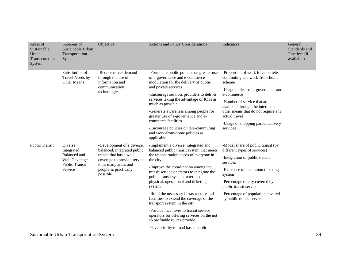| Areas of<br>Sustainable<br>Urban<br>Transportation<br>System | Subareas of<br>Sustainable Urban<br>Transportation<br>System                                        | Objective                                                                                                                                                                        | <b>Actions and Policy Considerations</b>                                                                                                                                                                                                                                                                                                                                                                                                                                                                                                                                                                  | Indicators                                                                                                                                                                                                                                                                                                      | General<br>Standards and<br>Practices (if<br>available) |
|--------------------------------------------------------------|-----------------------------------------------------------------------------------------------------|----------------------------------------------------------------------------------------------------------------------------------------------------------------------------------|-----------------------------------------------------------------------------------------------------------------------------------------------------------------------------------------------------------------------------------------------------------------------------------------------------------------------------------------------------------------------------------------------------------------------------------------------------------------------------------------------------------------------------------------------------------------------------------------------------------|-----------------------------------------------------------------------------------------------------------------------------------------------------------------------------------------------------------------------------------------------------------------------------------------------------------------|---------------------------------------------------------|
|                                                              | Substitution of<br>Travel Needs by<br>Other Means                                                   | -Reduce travel demand<br>through the use of<br>information and<br>communication<br>technologies                                                                                  | -Formulate public policies on greater use<br>of e-governance and e-commerce<br>modulation for the delivery of public<br>and private services<br>-Encourage services providers to deliver<br>services taking the advantage of ICTs as<br>much as possible<br>-Generate awareness among people for<br>greater use of e-governance and e-<br>commerce facilities<br>-Encourage policies on tele-commuting<br>and work-from-home policies as<br>applicable                                                                                                                                                    | -Proportion of work force on tele-<br>commuting and work-from-home<br>scheme<br>-Usage indices of e-governance and<br>e-commerce<br>-Number of service that are<br>available through the internet and<br>other means that do not require any<br>actual travel<br>-Usage of shopping parcel delivery<br>services |                                                         |
| <b>Public Transit</b>                                        | Diverse,<br>Integrated,<br><b>Balanced</b> and<br>Well Coverage<br><b>Public Transit</b><br>Service | -Development of a diverse,<br>balanced, integrated public<br>transit that has a well<br>coverage to provide service<br>to as many areas and<br>people as practically<br>possible | -Implement a diverse, integrated and<br>balanced public transit system that meets<br>the transportation needs of everyone in<br>the city<br>-Improve the coordination among the<br>transit service operators to integrate the<br>public transit system in terms of<br>physical, operational and ticketing<br>system<br>-Build the necessary infrastructure and<br>facilities to extend the coverage of the<br>transport system in the city<br>-Provide incentives to transit service<br>operators for offering services on the not<br>so profitable routes provide<br>-Give priority to road based public | -Modal share of public transit (by<br>different types of services)<br>-Integration of public transit<br>services<br>-Existence of a common ticketing<br>system<br>-Percentage of city covered by<br>public transit service<br>-Percentage of population covered<br>by public transit service                    |                                                         |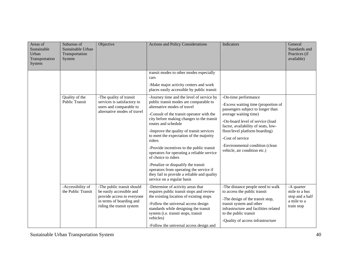| Areas of<br>Sustainable<br>Urban<br>Transportation<br>System | Subareas of<br>Sustainable Urban<br>Transportation<br>System | Objective                                                                                                                                     | <b>Actions and Policy Considerations</b>                                                                                                                                                                                                                                                                                                                                                                                                                                                                                                                                                                                                                            | Indicators                                                                                                                                                                                                                                                                                                                    | General<br>Standards and<br>Practices (if<br>available)                     |
|--------------------------------------------------------------|--------------------------------------------------------------|-----------------------------------------------------------------------------------------------------------------------------------------------|---------------------------------------------------------------------------------------------------------------------------------------------------------------------------------------------------------------------------------------------------------------------------------------------------------------------------------------------------------------------------------------------------------------------------------------------------------------------------------------------------------------------------------------------------------------------------------------------------------------------------------------------------------------------|-------------------------------------------------------------------------------------------------------------------------------------------------------------------------------------------------------------------------------------------------------------------------------------------------------------------------------|-----------------------------------------------------------------------------|
|                                                              |                                                              |                                                                                                                                               | transit modes to other modes especially<br>cars<br>-Make major activity centers and work                                                                                                                                                                                                                                                                                                                                                                                                                                                                                                                                                                            |                                                                                                                                                                                                                                                                                                                               |                                                                             |
|                                                              | Quality of the<br><b>Public Transit</b>                      | -The quality of transit<br>services is satisfactory to<br>users and comparable to<br>alternative modes of travel                              | places easily accessible by public transit<br>-Journey time and the level of service by<br>public transit modes are comparable to<br>alternative modes of travel<br>-Consult of the transit operator with the<br>city before making changes to the transit<br>routes and schedule<br>-Improve the quality of transit services<br>to meet the expectation of the majority<br>riders<br>-Provide incentives to the public transit<br>operators for operating a reliable service<br>of choice to riders<br>-Penalize or disqualify the transit<br>operators from operating the service if<br>they fail to provide a reliable and quality<br>service on a regular basis | -On-time performance<br>-Excess waiting time (proportion of<br>passengers subject to longer than<br>average waiting time)<br>-On-board level of service (load<br>factor, availability of seats, low-<br>floor/level platform boarding)<br>-Cost of service<br>-Environmental condition (clean<br>vehicle, air condition etc.) |                                                                             |
|                                                              | -Accessibility of<br>the Public Transit                      | -The public transit should<br>be easily accessible and<br>provide access to everyone<br>in terms of boarding and<br>riding the transit system | -Determine of activity areas that<br>requires public transit stops and review<br>the existing location of existing stops<br>-Follow the universal access design<br>standards while designing the transit<br>system (i.e. transit stops, transit<br>vehicles)<br>-Follow the universal access design and                                                                                                                                                                                                                                                                                                                                                             | -The distance people need to walk<br>to access the public transit<br>-The design of the transit stop,<br>transit system and other<br>infrastructure and facilities related<br>to the public transit<br>-Quality of access infrastructure                                                                                      | -A quarter<br>mile to a bus<br>stop and a half<br>a mile to a<br>train stop |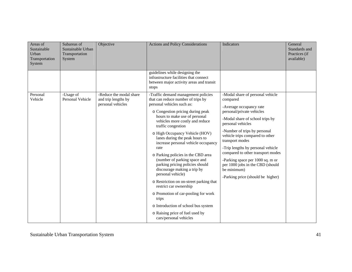| Areas of<br>Sustainable<br>Urban<br>Transportation<br>System | Subareas of<br>Sustainable Urban<br>Transportation<br>System | Objective                                                           | <b>Actions and Policy Considerations</b>                                                                                                                                                                                                                                                                                                                                                                                                                                                                                                                                                                                                                                                                                                       | <b>Indicators</b>                                                                                                                                                                                                                                                                                                                                                                                                                                        | General<br>Standards and<br>Practices (if<br>available) |
|--------------------------------------------------------------|--------------------------------------------------------------|---------------------------------------------------------------------|------------------------------------------------------------------------------------------------------------------------------------------------------------------------------------------------------------------------------------------------------------------------------------------------------------------------------------------------------------------------------------------------------------------------------------------------------------------------------------------------------------------------------------------------------------------------------------------------------------------------------------------------------------------------------------------------------------------------------------------------|----------------------------------------------------------------------------------------------------------------------------------------------------------------------------------------------------------------------------------------------------------------------------------------------------------------------------------------------------------------------------------------------------------------------------------------------------------|---------------------------------------------------------|
|                                                              |                                                              |                                                                     | guidelines while designing the<br>infrastructure facilities that connect<br>between major activity areas and transit<br>stops                                                                                                                                                                                                                                                                                                                                                                                                                                                                                                                                                                                                                  |                                                                                                                                                                                                                                                                                                                                                                                                                                                          |                                                         |
| Personal<br>Vehicle                                          | -Usage of<br><b>Personal Vehicle</b>                         | -Reduce the modal share<br>and trip lengths by<br>personal vehicles | -Traffic demand management policies<br>that can reduce number of trips by<br>personal vehicles such as:<br>o Congestion pricing during peak<br>hours to make use of personal<br>vehicles more costly and reduce<br>traffic congestion<br>o High Occupancy Vehicle (HOV)<br>lanes during the peak hours to<br>increase personal vehicle occupancy<br>rate<br>o Parking policies in the CBD area<br>(number of parking space and<br>parking pricing policies should<br>discourage making a trip by<br>personal vehicle)<br>o Restriction on on-street parking that<br>restrict car ownership<br>o Promotion of car-pooling for work<br>trips<br>o Introduction of school bus system<br>o Raising price of fuel used by<br>cars/personal vehicles | -Modal share of personal vehicle<br>compared<br>-Average occupancy rate<br>personal/private vehicles<br>-Modal share of school trips by<br>personal vehicles<br>-Number of trips by personal<br>vehicle trips compared to other<br>transport modes<br>-Trip lengths by personal vehicle<br>compared to other transport modes<br>-Parking space per 1000 sq. m or<br>per 1000 jobs in the CBD (should<br>be minimum)<br>-Parking price (should be higher) |                                                         |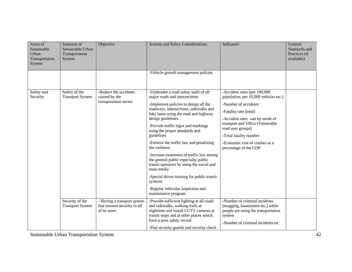| Areas of<br>Sustainable<br>Urban<br>Transportation<br>System | Subareas of<br>Sustainable Urban<br>Transportation<br>System | Objective                                                                   | <b>Actions and Policy Considerations</b>                                                                                                                                                                                                                                                                                                                                                                                                                                                                                                                                                                                                        | Indicators                                                                                                                                                                                                                                                                                             | General<br>Standards and<br>Practices (if<br>available) |
|--------------------------------------------------------------|--------------------------------------------------------------|-----------------------------------------------------------------------------|-------------------------------------------------------------------------------------------------------------------------------------------------------------------------------------------------------------------------------------------------------------------------------------------------------------------------------------------------------------------------------------------------------------------------------------------------------------------------------------------------------------------------------------------------------------------------------------------------------------------------------------------------|--------------------------------------------------------------------------------------------------------------------------------------------------------------------------------------------------------------------------------------------------------------------------------------------------------|---------------------------------------------------------|
|                                                              |                                                              |                                                                             | -Vehicle growth management policies                                                                                                                                                                                                                                                                                                                                                                                                                                                                                                                                                                                                             |                                                                                                                                                                                                                                                                                                        |                                                         |
| Safety and<br>Security                                       | Safety of the<br><b>Transport System</b>                     | -Reduce the accidents<br>caused by the<br>transportation sector             | -Undertake a road safety audit of all<br>major roads and intersections<br>-Implement policies to design all the<br>roadways, intersections, sidewalks and<br>bike lanes using the road and highway<br>design guidelines<br>-Provide traffic signs and markings<br>using the proper standards and<br>guidelines<br>-Enforce the traffic law and penalizing<br>the violators<br>-Increase awareness of traffic law among<br>the general public especially public<br>transit operators by using the social and<br>mass media<br>-Special driver training for public transit<br>systems<br>-Regular vehicular inspection and<br>maintenance program | -Accident rates (per 100,000<br>population, per 10,000 vehicles etc.)<br>-Number of accidents<br>-Fatality rate (total)<br>-Accident rates rate by mode of<br>transport and VRUs (Vulnerable<br>road user groups)<br>-Total fatality number<br>-Economic cost of crashes as a<br>percentage of the GDP |                                                         |
|                                                              | Security of the<br><b>Transport System</b>                   | - Having a transport system<br>that ensures security to all<br>of its users | -Provide sufficient lighting at all roads<br>and sidewalks, walking trails at<br>nighttime and install CCTV cameras at<br>transit stops and at other places which<br>have a poor safety record<br>-Post security guards and security check                                                                                                                                                                                                                                                                                                                                                                                                      | -Number of criminal incidents<br>(mugging, harassment etc.) while<br>people are using the transportation<br>system<br>-Number of criminal incidents on                                                                                                                                                 |                                                         |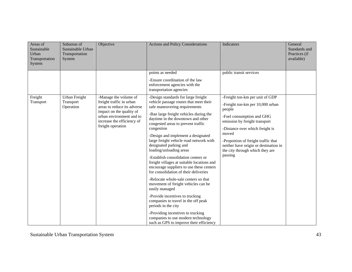| Areas of<br>Sustainable<br>Urban<br>Transportation<br>System | Subareas of<br>Sustainable Urban<br>Transportation<br>System | Objective                                                                                                                                                                                   | <b>Actions and Policy Considerations</b>                                                                                                                               | Indicators                                                                                                                                                                                                                                                                                                            | General<br>Standards and<br>Practices (if<br>available) |
|--------------------------------------------------------------|--------------------------------------------------------------|---------------------------------------------------------------------------------------------------------------------------------------------------------------------------------------------|------------------------------------------------------------------------------------------------------------------------------------------------------------------------|-----------------------------------------------------------------------------------------------------------------------------------------------------------------------------------------------------------------------------------------------------------------------------------------------------------------------|---------------------------------------------------------|
|                                                              |                                                              |                                                                                                                                                                                             | points as needed                                                                                                                                                       | public transit services                                                                                                                                                                                                                                                                                               |                                                         |
|                                                              |                                                              |                                                                                                                                                                                             | -Ensure coordination of the law<br>enforcement agencies with the<br>transportation agencies                                                                            |                                                                                                                                                                                                                                                                                                                       |                                                         |
| Freight<br>Transport                                         | Urban Freight<br>Transport<br>Operation                      | -Manage the volume of<br>freight traffic in urban<br>areas to reduce its adverse<br>impact on the quality of<br>urban environment and to<br>increase the efficiency of<br>freight operation | -Design standards for large freight<br>vehicle passage routes that meet their<br>safe maneuvering requirements                                                         | -Freight ton-km per unit of GDP<br>-Freight ton-km per 10,000 urban<br>people<br>-Fuel consumption and GHG<br>emission by freight transport<br>-Distance over which freight is<br>moved<br>-Proportion of freight traffic that<br>neither have origin or destination in<br>the city through which they are<br>passing |                                                         |
|                                                              |                                                              |                                                                                                                                                                                             | -Ban large freight vehicles during the<br>daytime in the downtown and other<br>congested areas to prevent traffic<br>congestion                                        |                                                                                                                                                                                                                                                                                                                       |                                                         |
|                                                              |                                                              |                                                                                                                                                                                             | -Design and implement a designated<br>large freight vehicle road network with<br>designated parking and<br>loading/unloading areas                                     |                                                                                                                                                                                                                                                                                                                       |                                                         |
|                                                              |                                                              |                                                                                                                                                                                             | -Establish consolidation centers or<br>freight villages at suitable locations and<br>encourage suppliers to use these centers<br>for consolidation of their deliveries |                                                                                                                                                                                                                                                                                                                       |                                                         |
|                                                              |                                                              |                                                                                                                                                                                             | -Relocate whole-sale centers so that<br>movement of freight vehicles can be<br>easily managed                                                                          |                                                                                                                                                                                                                                                                                                                       |                                                         |
|                                                              |                                                              |                                                                                                                                                                                             | -Provide incentives to trucking<br>companies to travel in the off peak<br>periods in the city                                                                          |                                                                                                                                                                                                                                                                                                                       |                                                         |
|                                                              |                                                              |                                                                                                                                                                                             | -Providing incentives to trucking<br>companies to use modern technology<br>such as GPS to improve their efficiency                                                     |                                                                                                                                                                                                                                                                                                                       |                                                         |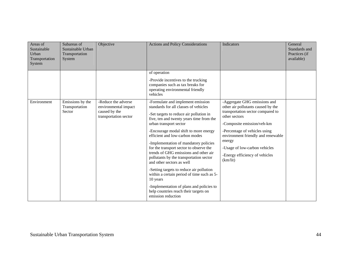| Areas of<br>Sustainable<br>Urban<br>Transportation<br>System | Subareas of<br>Sustainable Urban<br>Transportation<br>System | Objective                                                                             | <b>Actions and Policy Considerations</b>                                                                                                                                                                                                                                                                                                                                                                                                                                                                                                                                                                                                                                                     | Indicators                                                                                                                                                                                                                                                                                                             | General<br>Standards and<br>Practices (if<br>available) |
|--------------------------------------------------------------|--------------------------------------------------------------|---------------------------------------------------------------------------------------|----------------------------------------------------------------------------------------------------------------------------------------------------------------------------------------------------------------------------------------------------------------------------------------------------------------------------------------------------------------------------------------------------------------------------------------------------------------------------------------------------------------------------------------------------------------------------------------------------------------------------------------------------------------------------------------------|------------------------------------------------------------------------------------------------------------------------------------------------------------------------------------------------------------------------------------------------------------------------------------------------------------------------|---------------------------------------------------------|
|                                                              |                                                              |                                                                                       | of operation<br>-Provide incentives to the trucking<br>companies such as tax breaks for<br>operating environmental friendly<br>vehicles                                                                                                                                                                                                                                                                                                                                                                                                                                                                                                                                                      |                                                                                                                                                                                                                                                                                                                        |                                                         |
| Environment                                                  | Emissions by the<br>Transportation<br>Sector                 | -Reduce the adverse<br>environmental impact<br>caused by the<br>transportation sector | -Formulate and implement emission<br>standards for all classes of vehicles<br>-Set targets to reduce air pollution in<br>five, ten and twenty years time from the<br>urban transport sector<br>-Encourage modal shift to more energy<br>efficient and low-carbon modes<br>-Implementation of mandatory policies<br>for the transport sector to observe the<br>trends of GHG emissions and other air<br>pollutants by the transportation sector<br>and other sectors as well<br>-Setting targets to reduce air pollution<br>within a certain period of time such as 5-<br>10 years<br>-Implementation of plans and policies to<br>help countries reach their targets on<br>emission reduction | -Aggregate GHG emissions and<br>other air pollutants caused by the<br>transportation sector compared to<br>other sectors<br>-Composite emission/veh-km<br>-Percentage of vehicles using<br>environment friendly and renewable<br>energy<br>-Usage of low-carbon vehicles<br>-Energy efficiency of vehicles<br>(km/lit) |                                                         |